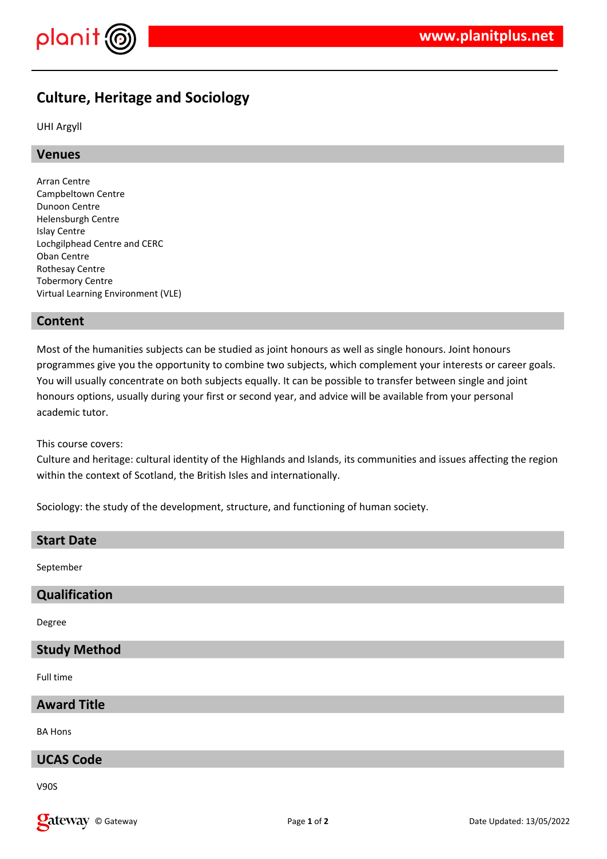

# **Culture, Heritage and Sociology**

UHI Argyll

## **Venues**

Arran Centre Campbeltown Centre Dunoon Centre Helensburgh Centre Islay Centre Lochgilphead Centre and CERC Oban Centre Rothesay Centre Tobermory Centre Virtual Learning Environment (VLE)

## **Content**

Most of the humanities subjects can be studied as joint honours as well as single honours. Joint honours programmes give you the opportunity to combine two subjects, which complement your interests or career goals. You will usually concentrate on both subjects equally. It can be possible to transfer between single and joint honours options, usually during your first or second year, and advice will be available from your personal academic tutor.

This course covers:

Culture and heritage: cultural identity of the Highlands and Islands, its communities and issues affecting the region within the context of Scotland, the British Isles and internationally.

Sociology: the study of the development, structure, and functioning of human society.

| <b>Start Date</b> |  |  |  |
|-------------------|--|--|--|
| September         |  |  |  |

#### **Qualification**

Degree

## **Study Method**

Full time

#### **Award Title**

BA Hons

## **UCAS Code**

V90S